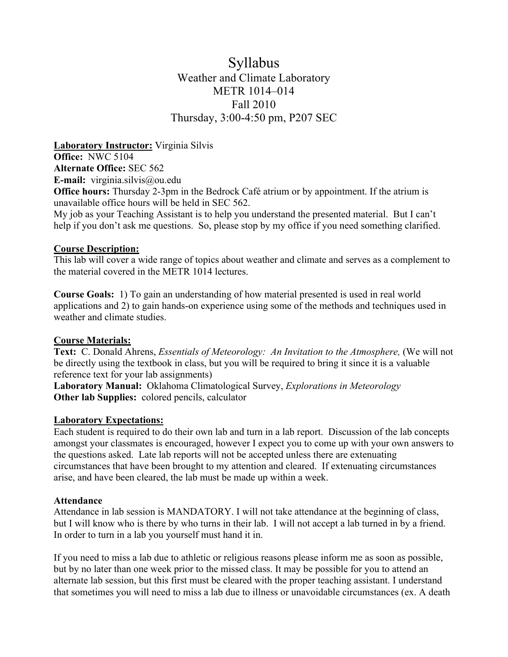# Syllabus Weather and Climate Laboratory METR 1014–014 Fall 2010 Thursday, 3:00-4:50 pm, P207 SEC

**Laboratory Instructor:** Virginia Silvis **Office:** NWC 5104 **Alternate Office:** SEC 562 **E-mail:** virginia.silvis@ou.edu **Office hours:** Thursday 2-3pm in the Bedrock Café atrium or by appointment. If the atrium is unavailable office hours will be held in SEC 562. My job as your Teaching Assistant is to help you understand the presented material. But I can't help if you don't ask me questions. So, please stop by my office if you need something clarified.

### **Course Description:**

This lab will cover a wide range of topics about weather and climate and serves as a complement to the material covered in the METR 1014 lectures.

**Course Goals:** 1) To gain an understanding of how material presented is used in real world applications and 2) to gain hands-on experience using some of the methods and techniques used in weather and climate studies.

# **Course Materials:**

**Text:** C. Donald Ahrens, *Essentials of Meteorology: An Invitation to the Atmosphere,* (We will not be directly using the textbook in class, but you will be required to bring it since it is a valuable reference text for your lab assignments)

**Laboratory Manual:** Oklahoma Climatological Survey, *Explorations in Meteorology* **Other lab Supplies:** colored pencils, calculator

### **Laboratory Expectations:**

Each student is required to do their own lab and turn in a lab report. Discussion of the lab concepts amongst your classmates is encouraged, however I expect you to come up with your own answers to the questions asked. Late lab reports will not be accepted unless there are extenuating circumstances that have been brought to my attention and cleared. If extenuating circumstances arise, and have been cleared, the lab must be made up within a week.

### **Attendance**

Attendance in lab session is MANDATORY. I will not take attendance at the beginning of class, but I will know who is there by who turns in their lab. I will not accept a lab turned in by a friend. In order to turn in a lab you yourself must hand it in.

If you need to miss a lab due to athletic or religious reasons please inform me as soon as possible, but by no later than one week prior to the missed class. It may be possible for you to attend an alternate lab session, but this first must be cleared with the proper teaching assistant. I understand that sometimes you will need to miss a lab due to illness or unavoidable circumstances (ex. A death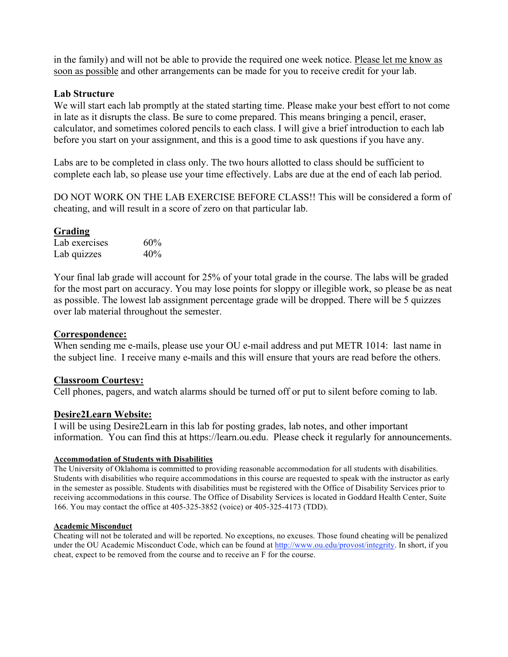in the family) and will not be able to provide the required one week notice. Please let me know as soon as possible and other arrangements can be made for you to receive credit for your lab.

### **Lab Structure**

We will start each lab promptly at the stated starting time. Please make your best effort to not come in late as it disrupts the class. Be sure to come prepared. This means bringing a pencil, eraser, calculator, and sometimes colored pencils to each class. I will give a brief introduction to each lab before you start on your assignment, and this is a good time to ask questions if you have any.

Labs are to be completed in class only. The two hours allotted to class should be sufficient to complete each lab, so please use your time effectively. Labs are due at the end of each lab period.

DO NOT WORK ON THE LAB EXERCISE BEFORE CLASS!! This will be considered a form of cheating, and will result in a score of zero on that particular lab.

# **Grading**

| Lab exercises | 60% |
|---------------|-----|
| Lab quizzes   | 40% |

Your final lab grade will account for 25% of your total grade in the course. The labs will be graded for the most part on accuracy. You may lose points for sloppy or illegible work, so please be as neat as possible. The lowest lab assignment percentage grade will be dropped. There will be 5 quizzes over lab material throughout the semester.

### **Correspondence:**

When sending me e-mails, please use your OU e-mail address and put METR 1014: last name in the subject line. I receive many e-mails and this will ensure that yours are read before the others.

### **Classroom Courtesy:**

Cell phones, pagers, and watch alarms should be turned off or put to silent before coming to lab.

### **Desire2Learn Website:**

I will be using Desire2Learn in this lab for posting grades, lab notes, and other important information. You can find this at https://learn.ou.edu. Please check it regularly for announcements.

#### **Accommodation of Students with Disabilities**

The University of Oklahoma is committed to providing reasonable accommodation for all students with disabilities. Students with disabilities who require accommodations in this course are requested to speak with the instructor as early in the semester as possible. Students with disabilities must be registered with the Office of Disability Services prior to receiving accommodations in this course. The Office of Disability Services is located in Goddard Health Center, Suite 166. You may contact the office at 405-325-3852 (voice) or 405-325-4173 (TDD).

#### **Academic Misconduct**

Cheating will not be tolerated and will be reported. No exceptions, no excuses. Those found cheating will be penalized under the OU Academic Misconduct Code, which can be found at http://www.ou.edu/provost/integrity. In short, if you cheat, expect to be removed from the course and to receive an F for the course.